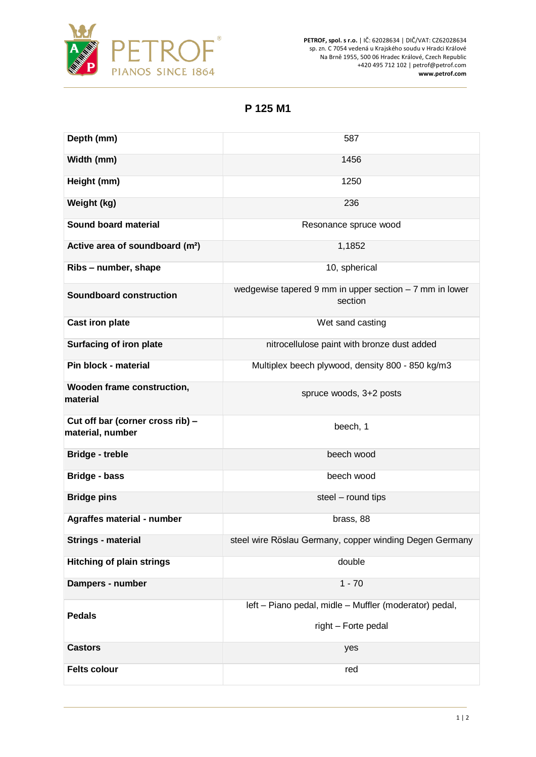

**PETROF, spol. s r.o.** | IČ: 62028634 | DIČ/VAT: CZ62028634 sp. zn. C 7054 vedená u Krajského soudu v Hradci Králové Na Brně 1955, 500 06 Hradec Králové, Czech Republic +420 495 712 102 | petrof@petrof.com **www.petrof.com**

## **P 125 M1**

| Depth (mm)                                           | 587                                                                 |
|------------------------------------------------------|---------------------------------------------------------------------|
| Width (mm)                                           | 1456                                                                |
| Height (mm)                                          | 1250                                                                |
| Weight (kg)                                          | 236                                                                 |
| Sound board material                                 | Resonance spruce wood                                               |
| Active area of soundboard (m <sup>2</sup> )          | 1,1852                                                              |
| Ribs - number, shape                                 | 10, spherical                                                       |
| Soundboard construction                              | wedgewise tapered 9 mm in upper section $-7$ mm in lower<br>section |
| <b>Cast iron plate</b>                               | Wet sand casting                                                    |
| Surfacing of iron plate                              | nitrocellulose paint with bronze dust added                         |
| Pin block - material                                 | Multiplex beech plywood, density 800 - 850 kg/m3                    |
| Wooden frame construction,<br>material               | spruce woods, 3+2 posts                                             |
| Cut off bar (corner cross rib) -<br>material, number | beech, 1                                                            |
| <b>Bridge - treble</b>                               | beech wood                                                          |
| <b>Bridge - bass</b>                                 | beech wood                                                          |
| <b>Bridge pins</b>                                   | steel - round tips                                                  |
| <b>Agraffes material - number</b>                    | brass, 88                                                           |
| <b>Strings - material</b>                            | steel wire Röslau Germany, copper winding Degen Germany             |
| <b>Hitching of plain strings</b>                     | double                                                              |
| Dampers - number                                     | $1 - 70$                                                            |
| <b>Pedals</b>                                        | left - Piano pedal, midle - Muffler (moderator) pedal,              |
|                                                      | right - Forte pedal                                                 |
| <b>Castors</b>                                       | yes                                                                 |
| <b>Felts colour</b>                                  | red                                                                 |